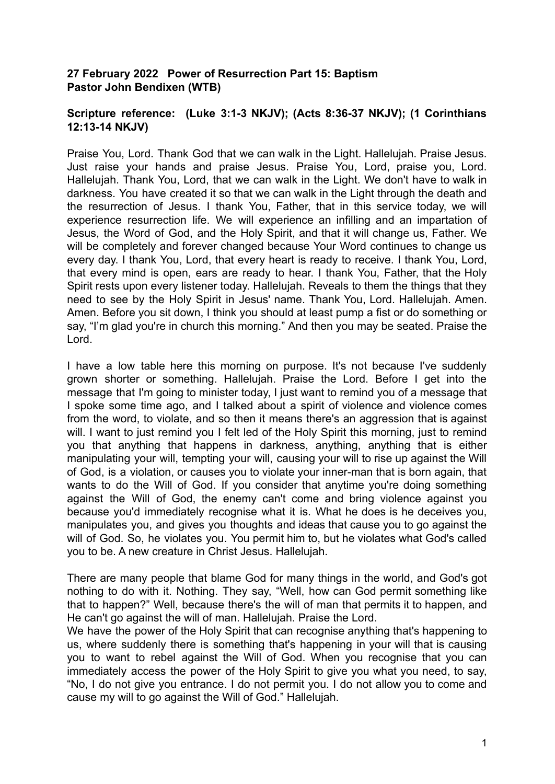## **27 February 2022 Power of Resurrection Part 15: Baptism Pastor John Bendixen (WTB)**

## **Scripture reference: (Luke 3:1-3 NKJV); (Acts 8:36-37 NKJV); (1 Corinthians 12:13-14 NKJV)**

Praise You, Lord. Thank God that we can walk in the Light. Hallelujah. Praise Jesus. Just raise your hands and praise Jesus. Praise You, Lord, praise you, Lord. Hallelujah. Thank You, Lord, that we can walk in the Light. We don't have to walk in darkness. You have created it so that we can walk in the Light through the death and the resurrection of Jesus. I thank You, Father, that in this service today, we will experience resurrection life. We will experience an infilling and an impartation of Jesus, the Word of God, and the Holy Spirit, and that it will change us, Father. We will be completely and forever changed because Your Word continues to change us every day. I thank You, Lord, that every heart is ready to receive. I thank You, Lord, that every mind is open, ears are ready to hear. I thank You, Father, that the Holy Spirit rests upon every listener today. Hallelujah. Reveals to them the things that they need to see by the Holy Spirit in Jesus' name. Thank You, Lord. Hallelujah. Amen. Amen. Before you sit down, I think you should at least pump a fist or do something or say, "I'm glad you're in church this morning." And then you may be seated. Praise the Lord.

I have a low table here this morning on purpose. It's not because I've suddenly grown shorter or something. Hallelujah. Praise the Lord. Before I get into the message that I'm going to minister today, I just want to remind you of a message that I spoke some time ago, and I talked about a spirit of violence and violence comes from the word, to violate, and so then it means there's an aggression that is against will. I want to just remind you I felt led of the Holy Spirit this morning, just to remind you that anything that happens in darkness, anything, anything that is either manipulating your will, tempting your will, causing your will to rise up against the Will of God, is a violation, or causes you to violate your inner-man that is born again, that wants to do the Will of God. If you consider that anytime you're doing something against the Will of God, the enemy can't come and bring violence against you because you'd immediately recognise what it is. What he does is he deceives you, manipulates you, and gives you thoughts and ideas that cause you to go against the will of God. So, he violates you. You permit him to, but he violates what God's called you to be. A new creature in Christ Jesus. Hallelujah.

There are many people that blame God for many things in the world, and God's got nothing to do with it. Nothing. They say, "Well, how can God permit something like that to happen?" Well, because there's the will of man that permits it to happen, and He can't go against the will of man. Hallelujah. Praise the Lord.

We have the power of the Holy Spirit that can recognise anything that's happening to us, where suddenly there is something that's happening in your will that is causing you to want to rebel against the Will of God. When you recognise that you can immediately access the power of the Holy Spirit to give you what you need, to say, "No, I do not give you entrance. I do not permit you. I do not allow you to come and cause my will to go against the Will of God." Hallelujah.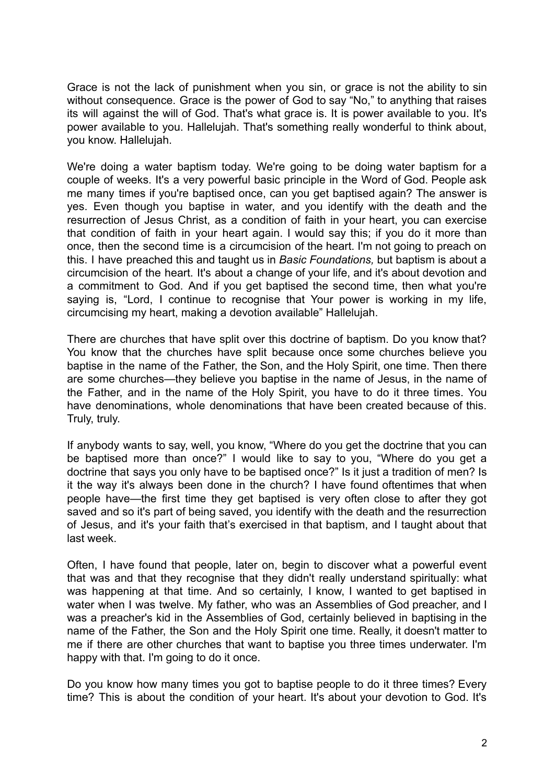Grace is not the lack of punishment when you sin, or grace is not the ability to sin without consequence. Grace is the power of God to say "No," to anything that raises its will against the will of God. That's what grace is. It is power available to you. It's power available to you. Hallelujah. That's something really wonderful to think about, you know. Hallelujah.

We're doing a water baptism today. We're going to be doing water baptism for a couple of weeks. It's a very powerful basic principle in the Word of God. People ask me many times if you're baptised once, can you get baptised again? The answer is yes. Even though you baptise in water, and you identify with the death and the resurrection of Jesus Christ, as a condition of faith in your heart, you can exercise that condition of faith in your heart again. I would say this; if you do it more than once, then the second time is a circumcision of the heart. I'm not going to preach on this. I have preached this and taught us in *Basic Foundations,* but baptism is about a circumcision of the heart. It's about a change of your life, and it's about devotion and a commitment to God. And if you get baptised the second time, then what you're saying is, "Lord, I continue to recognise that Your power is working in my life, circumcising my heart, making a devotion available" Hallelujah.

There are churches that have split over this doctrine of baptism. Do you know that? You know that the churches have split because once some churches believe you baptise in the name of the Father, the Son, and the Holy Spirit, one time. Then there are some churches—they believe you baptise in the name of Jesus, in the name of the Father, and in the name of the Holy Spirit, you have to do it three times. You have denominations, whole denominations that have been created because of this. Truly, truly.

If anybody wants to say, well, you know, "Where do you get the doctrine that you can be baptised more than once?" I would like to say to you, "Where do you get a doctrine that says you only have to be baptised once?" Is it just a tradition of men? Is it the way it's always been done in the church? I have found oftentimes that when people have—the first time they get baptised is very often close to after they got saved and so it's part of being saved, you identify with the death and the resurrection of Jesus, and it's your faith that's exercised in that baptism, and I taught about that last week.

Often, I have found that people, later on, begin to discover what a powerful event that was and that they recognise that they didn't really understand spiritually: what was happening at that time. And so certainly, I know, I wanted to get baptised in water when I was twelve. My father, who was an Assemblies of God preacher, and I was a preacher's kid in the Assemblies of God, certainly believed in baptising in the name of the Father, the Son and the Holy Spirit one time. Really, it doesn't matter to me if there are other churches that want to baptise you three times underwater. I'm happy with that. I'm going to do it once.

Do you know how many times you got to baptise people to do it three times? Every time? This is about the condition of your heart. It's about your devotion to God. It's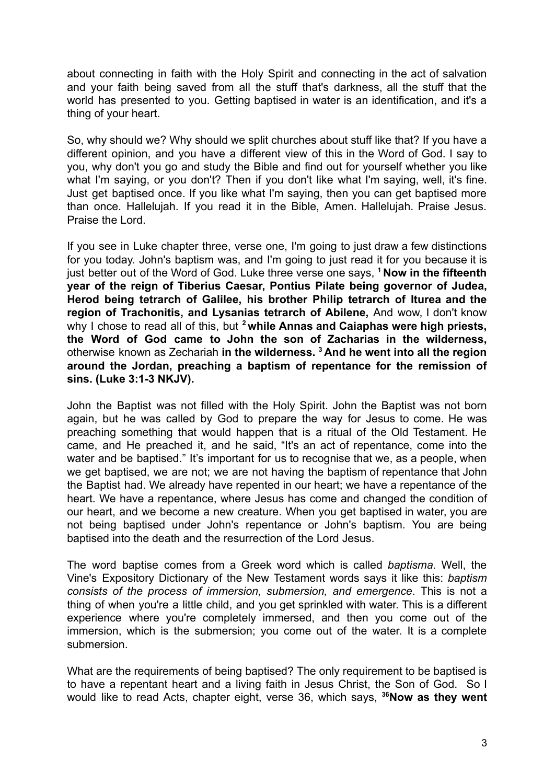about connecting in faith with the Holy Spirit and connecting in the act of salvation and your faith being saved from all the stuff that's darkness, all the stuff that the world has presented to you. Getting baptised in water is an identification, and it's a thing of your heart.

So, why should we? Why should we split churches about stuff like that? If you have a different opinion, and you have a different view of this in the Word of God. I say to you, why don't you go and study the Bible and find out for yourself whether you like what I'm saying, or you don't? Then if you don't like what I'm saying, well, it's fine. Just get baptised once. If you like what I'm saying, then you can get baptised more than once. Hallelujah. If you read it in the Bible, Amen. Hallelujah. Praise Jesus. Praise the Lord.

If you see in Luke chapter three, verse one, I'm going to just draw a few distinctions for you today. John's baptism was, and I'm going to just read it for you because it is just better out of the Word of God. Luke three verse one says, **<sup>1</sup> Now in the fifteenth year of the reign of Tiberius Caesar, Pontius Pilate being governor of Judea, Herod being tetrarch of Galilee, his brother Philip tetrarch of Iturea and the region of Trachonitis, and Lysanias tetrarch of Abilene,** And wow, I don't know why I chose to read all of this, but **<sup>2</sup> while Annas and Caiaphas were high priests, the Word of God came to John the son of Zacharias in the wilderness,** otherwise known as Zechariah **in the wilderness. <sup>3</sup> And he went into all the region around the Jordan, preaching a baptism of repentance for the remission of sins. (Luke 3:1-3 NKJV).**

John the Baptist was not filled with the Holy Spirit. John the Baptist was not born again, but he was called by God to prepare the way for Jesus to come. He was preaching something that would happen that is a ritual of the Old Testament. He came, and He preached it, and he said, "It's an act of repentance, come into the water and be baptised." It's important for us to recognise that we, as a people, when we get baptised, we are not; we are not having the baptism of repentance that John the Baptist had. We already have repented in our heart; we have a repentance of the heart. We have a repentance, where Jesus has come and changed the condition of our heart, and we become a new creature. When you get baptised in water, you are not being baptised under John's repentance or John's baptism. You are being baptised into the death and the resurrection of the Lord Jesus.

The word baptise comes from a Greek word which is called *baptisma*. Well, the Vine's Expository Dictionary of the New Testament words says it like this: *baptism consists of the process of immersion, submersion, and emergence*. This is not a thing of when you're a little child, and you get sprinkled with water. This is a different experience where you're completely immersed, and then you come out of the immersion, which is the submersion; you come out of the water. It is a complete submersion.

What are the requirements of being baptised? The only requirement to be baptised is to have a repentant heart and a living faith in Jesus Christ, the Son of God. So I would like to read Acts, chapter eight, verse 36, which says, **<sup>36</sup>Now as they went**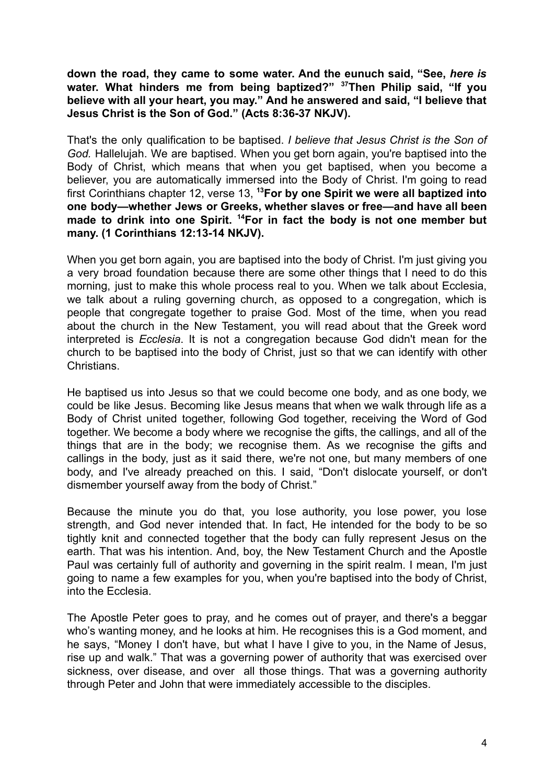**down the road, they came to some water. And the eunuch said, "See,** *here is* **water. What hinders me from being baptized?" <sup>37</sup>Then Philip said, "If you believe with all your heart, you may." And he answered and said, "I believe that Jesus Christ is the Son of God." (Acts 8:36-37 NKJV).**

That's the only qualification to be baptised. *I believe that Jesus Christ is the Son of God.* Hallelujah. We are baptised. When you get born again, you're baptised into the Body of Christ, which means that when you get baptised, when you become a believer, you are automatically immersed into the Body of Christ. I'm going to read first Corinthians chapter 12, verse 13, **<sup>13</sup>For by one Spirit we were all baptized into one body—whether Jews or Greeks, whether slaves or free—and have all been made to drink into one Spirit. <sup>14</sup>For in fact the body is not one member but many. (1 Corinthians 12:13-14 NKJV).**

When you get born again, you are baptised into the body of Christ. I'm just giving you a very broad foundation because there are some other things that I need to do this morning, just to make this whole process real to you. When we talk about Ecclesia, we talk about a ruling governing church, as opposed to a congregation, which is people that congregate together to praise God. Most of the time, when you read about the church in the New Testament, you will read about that the Greek word interpreted is *Ecclesia*. It is not a congregation because God didn't mean for the church to be baptised into the body of Christ, just so that we can identify with other Christians.

He baptised us into Jesus so that we could become one body, and as one body, we could be like Jesus. Becoming like Jesus means that when we walk through life as a Body of Christ united together, following God together, receiving the Word of God together. We become a body where we recognise the gifts, the callings, and all of the things that are in the body; we recognise them. As we recognise the gifts and callings in the body, just as it said there, we're not one, but many members of one body, and I've already preached on this. I said, "Don't dislocate yourself, or don't dismember yourself away from the body of Christ."

Because the minute you do that, you lose authority, you lose power, you lose strength, and God never intended that. In fact, He intended for the body to be so tightly knit and connected together that the body can fully represent Jesus on the earth. That was his intention. And, boy, the New Testament Church and the Apostle Paul was certainly full of authority and governing in the spirit realm. I mean, I'm just going to name a few examples for you, when you're baptised into the body of Christ, into the Ecclesia.

The Apostle Peter goes to pray, and he comes out of prayer, and there's a beggar who's wanting money, and he looks at him. He recognises this is a God moment, and he says, "Money I don't have, but what I have I give to you, in the Name of Jesus, rise up and walk." That was a governing power of authority that was exercised over sickness, over disease, and over all those things. That was a governing authority through Peter and John that were immediately accessible to the disciples.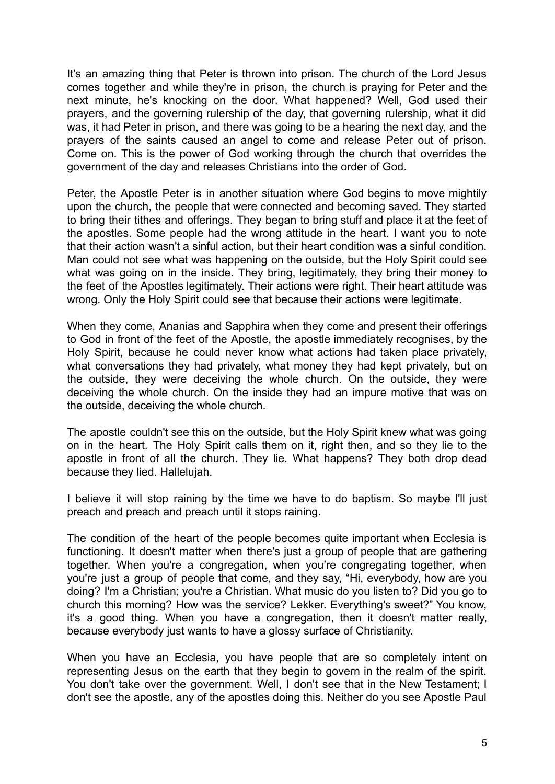It's an amazing thing that Peter is thrown into prison. The church of the Lord Jesus comes together and while they're in prison, the church is praying for Peter and the next minute, he's knocking on the door. What happened? Well, God used their prayers, and the governing rulership of the day, that governing rulership, what it did was, it had Peter in prison, and there was going to be a hearing the next day, and the prayers of the saints caused an angel to come and release Peter out of prison. Come on. This is the power of God working through the church that overrides the government of the day and releases Christians into the order of God.

Peter, the Apostle Peter is in another situation where God begins to move mightily upon the church, the people that were connected and becoming saved. They started to bring their tithes and offerings. They began to bring stuff and place it at the feet of the apostles. Some people had the wrong attitude in the heart. I want you to note that their action wasn't a sinful action, but their heart condition was a sinful condition. Man could not see what was happening on the outside, but the Holy Spirit could see what was going on in the inside. They bring, legitimately, they bring their money to the feet of the Apostles legitimately. Their actions were right. Their heart attitude was wrong. Only the Holy Spirit could see that because their actions were legitimate.

When they come, Ananias and Sapphira when they come and present their offerings to God in front of the feet of the Apostle, the apostle immediately recognises, by the Holy Spirit, because he could never know what actions had taken place privately, what conversations they had privately, what money they had kept privately, but on the outside, they were deceiving the whole church. On the outside, they were deceiving the whole church. On the inside they had an impure motive that was on the outside, deceiving the whole church.

The apostle couldn't see this on the outside, but the Holy Spirit knew what was going on in the heart. The Holy Spirit calls them on it, right then, and so they lie to the apostle in front of all the church. They lie. What happens? They both drop dead because they lied. Hallelujah.

I believe it will stop raining by the time we have to do baptism. So maybe I'll just preach and preach and preach until it stops raining.

The condition of the heart of the people becomes quite important when Ecclesia is functioning. It doesn't matter when there's just a group of people that are gathering together. When you're a congregation, when you're congregating together, when you're just a group of people that come, and they say, "Hi, everybody, how are you doing? I'm a Christian; you're a Christian. What music do you listen to? Did you go to church this morning? How was the service? Lekker. Everything's sweet?" You know, it's a good thing. When you have a congregation, then it doesn't matter really, because everybody just wants to have a glossy surface of Christianity.

When you have an Ecclesia, you have people that are so completely intent on representing Jesus on the earth that they begin to govern in the realm of the spirit. You don't take over the government. Well, I don't see that in the New Testament; I don't see the apostle, any of the apostles doing this. Neither do you see Apostle Paul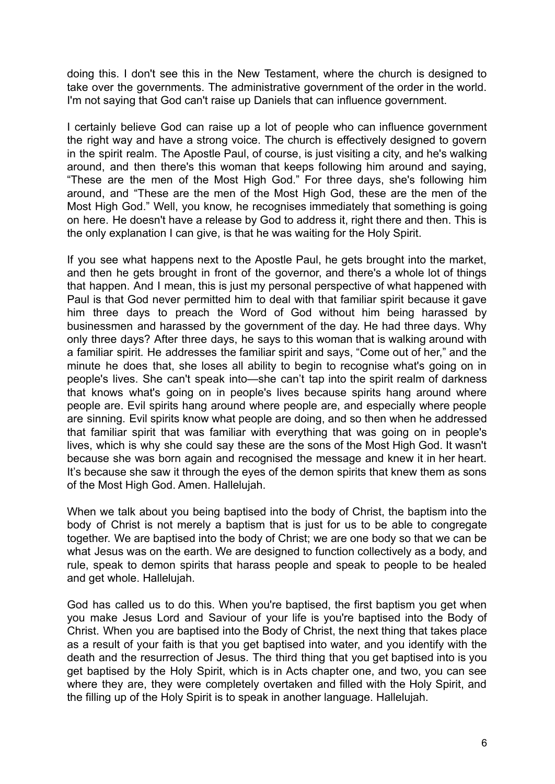doing this. I don't see this in the New Testament, where the church is designed to take over the governments. The administrative government of the order in the world. I'm not saying that God can't raise up Daniels that can influence government.

I certainly believe God can raise up a lot of people who can influence government the right way and have a strong voice. The church is effectively designed to govern in the spirit realm. The Apostle Paul, of course, is just visiting a city, and he's walking around, and then there's this woman that keeps following him around and saying, "These are the men of the Most High God." For three days, she's following him around, and "These are the men of the Most High God, these are the men of the Most High God." Well, you know, he recognises immediately that something is going on here. He doesn't have a release by God to address it, right there and then. This is the only explanation I can give, is that he was waiting for the Holy Spirit.

If you see what happens next to the Apostle Paul, he gets brought into the market, and then he gets brought in front of the governor, and there's a whole lot of things that happen. And I mean, this is just my personal perspective of what happened with Paul is that God never permitted him to deal with that familiar spirit because it gave him three days to preach the Word of God without him being harassed by businessmen and harassed by the government of the day. He had three days. Why only three days? After three days, he says to this woman that is walking around with a familiar spirit. He addresses the familiar spirit and says, "Come out of her," and the minute he does that, she loses all ability to begin to recognise what's going on in people's lives. She can't speak into—she can't tap into the spirit realm of darkness that knows what's going on in people's lives because spirits hang around where people are. Evil spirits hang around where people are, and especially where people are sinning. Evil spirits know what people are doing, and so then when he addressed that familiar spirit that was familiar with everything that was going on in people's lives, which is why she could say these are the sons of the Most High God. It wasn't because she was born again and recognised the message and knew it in her heart. It's because she saw it through the eyes of the demon spirits that knew them as sons of the Most High God. Amen. Hallelujah.

When we talk about you being baptised into the body of Christ, the baptism into the body of Christ is not merely a baptism that is just for us to be able to congregate together. We are baptised into the body of Christ; we are one body so that we can be what Jesus was on the earth. We are designed to function collectively as a body, and rule, speak to demon spirits that harass people and speak to people to be healed and get whole. Hallelujah.

God has called us to do this. When you're baptised, the first baptism you get when you make Jesus Lord and Saviour of your life is you're baptised into the Body of Christ. When you are baptised into the Body of Christ, the next thing that takes place as a result of your faith is that you get baptised into water, and you identify with the death and the resurrection of Jesus. The third thing that you get baptised into is you get baptised by the Holy Spirit, which is in Acts chapter one, and two, you can see where they are, they were completely overtaken and filled with the Holy Spirit, and the filling up of the Holy Spirit is to speak in another language. Hallelujah.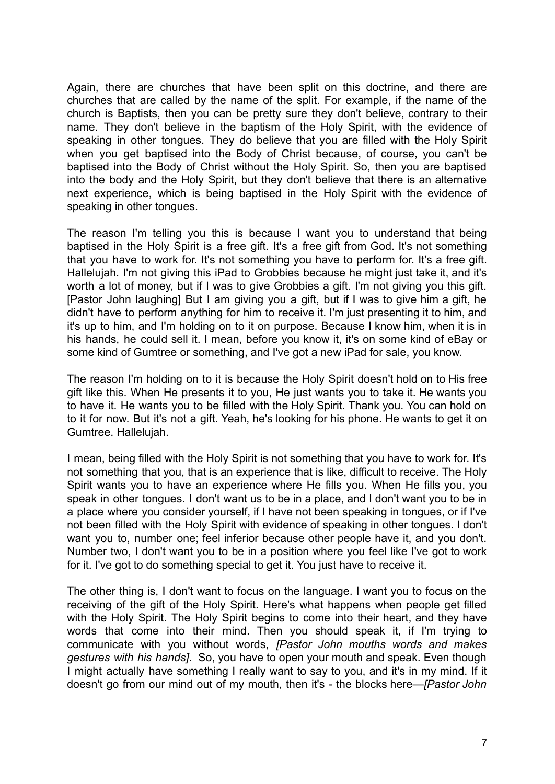Again, there are churches that have been split on this doctrine, and there are churches that are called by the name of the split. For example, if the name of the church is Baptists, then you can be pretty sure they don't believe, contrary to their name. They don't believe in the baptism of the Holy Spirit, with the evidence of speaking in other tongues. They do believe that you are filled with the Holy Spirit when you get baptised into the Body of Christ because, of course, you can't be baptised into the Body of Christ without the Holy Spirit. So, then you are baptised into the body and the Holy Spirit, but they don't believe that there is an alternative next experience, which is being baptised in the Holy Spirit with the evidence of speaking in other tongues.

The reason I'm telling you this is because I want you to understand that being baptised in the Holy Spirit is a free gift. It's a free gift from God. It's not something that you have to work for. It's not something you have to perform for. It's a free gift. Hallelujah. I'm not giving this iPad to Grobbies because he might just take it, and it's worth a lot of money, but if I was to give Grobbies a gift. I'm not giving you this gift. [Pastor John laughing] But I am giving you a gift, but if I was to give him a gift, he didn't have to perform anything for him to receive it. I'm just presenting it to him, and it's up to him, and I'm holding on to it on purpose. Because I know him, when it is in his hands, he could sell it. I mean, before you know it, it's on some kind of eBay or some kind of Gumtree or something, and I've got a new iPad for sale, you know.

The reason I'm holding on to it is because the Holy Spirit doesn't hold on to His free gift like this. When He presents it to you, He just wants you to take it. He wants you to have it. He wants you to be filled with the Holy Spirit. Thank you. You can hold on to it for now. But it's not a gift. Yeah, he's looking for his phone. He wants to get it on Gumtree. Hallelujah.

I mean, being filled with the Holy Spirit is not something that you have to work for. It's not something that you, that is an experience that is like, difficult to receive. The Holy Spirit wants you to have an experience where He fills you. When He fills you, you speak in other tongues. I don't want us to be in a place, and I don't want you to be in a place where you consider yourself, if I have not been speaking in tongues, or if I've not been filled with the Holy Spirit with evidence of speaking in other tongues. I don't want you to, number one; feel inferior because other people have it, and you don't. Number two, I don't want you to be in a position where you feel like I've got to work for it. I've got to do something special to get it. You just have to receive it.

The other thing is, I don't want to focus on the language. I want you to focus on the receiving of the gift of the Holy Spirit. Here's what happens when people get filled with the Holy Spirit. The Holy Spirit begins to come into their heart, and they have words that come into their mind. Then you should speak it, if I'm trying to communicate with you without words, *[Pastor John mouths words and makes gestures with his hands]*. So, you have to open your mouth and speak. Even though I might actually have something I really want to say to you, and it's in my mind. If it doesn't go from our mind out of my mouth, then it's - the blocks here—*[Pastor John*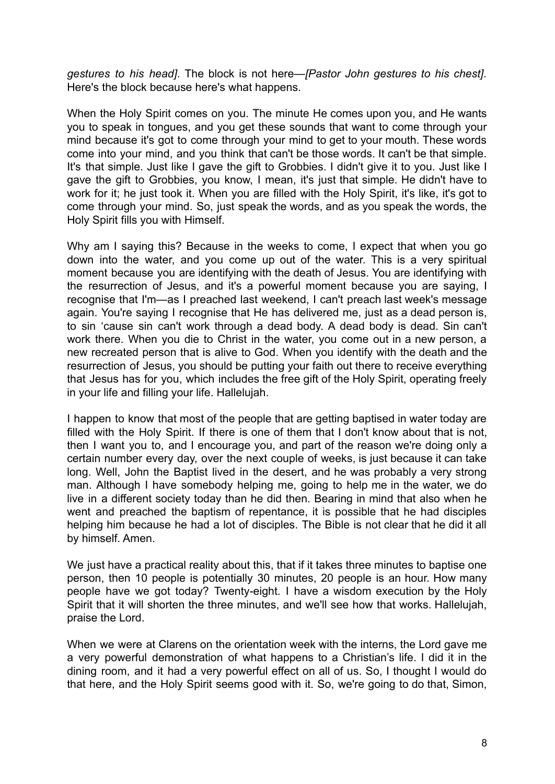*gestures to his head]*. The block is not here—*[Pastor John gestures to his chest]*. Here's the block because here's what happens.

When the Holy Spirit comes on you. The minute He comes upon you, and He wants you to speak in tongues, and you get these sounds that want to come through your mind because it's got to come through your mind to get to your mouth. These words come into your mind, and you think that can't be those words. It can't be that simple. It's that simple. Just like I gave the gift to Grobbies. I didn't give it to you. Just like I gave the gift to Grobbies, you know, I mean, it's just that simple. He didn't have to work for it; he just took it. When you are filled with the Holy Spirit, it's like, it's got to come through your mind. So, just speak the words, and as you speak the words, the Holy Spirit fills you with Himself.

Why am I saying this? Because in the weeks to come, I expect that when you go down into the water, and you come up out of the water. This is a very spiritual moment because you are identifying with the death of Jesus. You are identifying with the resurrection of Jesus, and it's a powerful moment because you are saying, I recognise that I'm—as I preached last weekend, I can't preach last week's message again. You're saying I recognise that He has delivered me, just as a dead person is, to sin 'cause sin can't work through a dead body. A dead body is dead. Sin can't work there. When you die to Christ in the water, you come out in a new person, a new recreated person that is alive to God. When you identify with the death and the resurrection of Jesus, you should be putting your faith out there to receive everything that Jesus has for you, which includes the free gift of the Holy Spirit, operating freely in your life and filling your life. Hallelujah.

I happen to know that most of the people that are getting baptised in water today are filled with the Holy Spirit. If there is one of them that I don't know about that is not, then I want you to, and I encourage you, and part of the reason we're doing only a certain number every day, over the next couple of weeks, is just because it can take long. Well, John the Baptist lived in the desert, and he was probably a very strong man. Although I have somebody helping me, going to help me in the water, we do live in a different society today than he did then. Bearing in mind that also when he went and preached the baptism of repentance, it is possible that he had disciples helping him because he had a lot of disciples. The Bible is not clear that he did it all by himself. Amen.

We just have a practical reality about this, that if it takes three minutes to baptise one person, then 10 people is potentially 30 minutes, 20 people is an hour. How many people have we got today? Twenty-eight. I have a wisdom execution by the Holy Spirit that it will shorten the three minutes, and we'll see how that works. Hallelujah, praise the Lord.

When we were at Clarens on the orientation week with the interns, the Lord gave me a very powerful demonstration of what happens to a Christian's life. I did it in the dining room, and it had a very powerful effect on all of us. So, I thought I would do that here, and the Holy Spirit seems good with it. So, we're going to do that, Simon,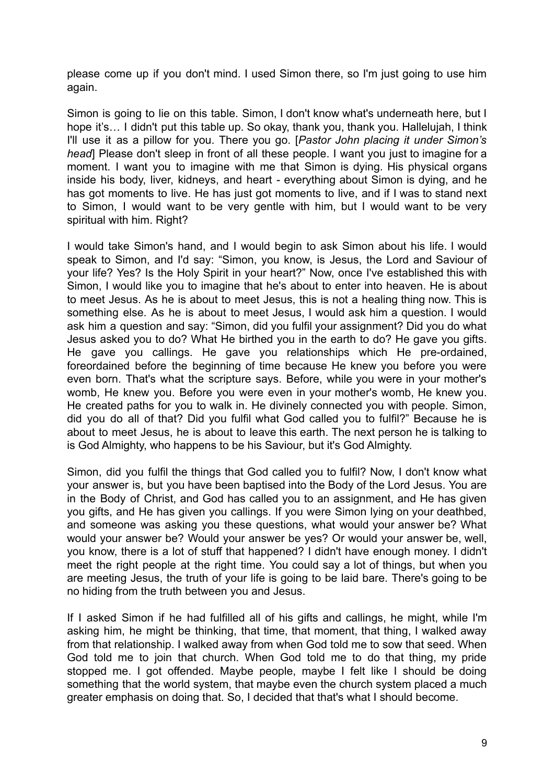please come up if you don't mind. I used Simon there, so I'm just going to use him again.

Simon is going to lie on this table. Simon, I don't know what's underneath here, but I hope it's… I didn't put this table up. So okay, thank you, thank you. Hallelujah, I think I'll use it as a pillow for you. There you go. [*Pastor John placing it under Simon's head*] Please don't sleep in front of all these people. I want you just to imagine for a moment. I want you to imagine with me that Simon is dying. His physical organs inside his body, liver, kidneys, and heart - everything about Simon is dying, and he has got moments to live. He has just got moments to live, and if I was to stand next to Simon, I would want to be very gentle with him, but I would want to be very spiritual with him. Right?

I would take Simon's hand, and I would begin to ask Simon about his life. I would speak to Simon, and I'd say: "Simon, you know, is Jesus, the Lord and Saviour of your life? Yes? Is the Holy Spirit in your heart?" Now, once I've established this with Simon, I would like you to imagine that he's about to enter into heaven. He is about to meet Jesus. As he is about to meet Jesus, this is not a healing thing now. This is something else. As he is about to meet Jesus, I would ask him a question. I would ask him a question and say: "Simon, did you fulfil your assignment? Did you do what Jesus asked you to do? What He birthed you in the earth to do? He gave you gifts. He gave you callings. He gave you relationships which He pre-ordained, foreordained before the beginning of time because He knew you before you were even born. That's what the scripture says. Before, while you were in your mother's womb, He knew you. Before you were even in your mother's womb, He knew you. He created paths for you to walk in. He divinely connected you with people. Simon, did you do all of that? Did you fulfil what God called you to fulfil?" Because he is about to meet Jesus, he is about to leave this earth. The next person he is talking to is God Almighty, who happens to be his Saviour, but it's God Almighty.

Simon, did you fulfil the things that God called you to fulfil? Now, I don't know what your answer is, but you have been baptised into the Body of the Lord Jesus. You are in the Body of Christ, and God has called you to an assignment, and He has given you gifts, and He has given you callings. If you were Simon lying on your deathbed, and someone was asking you these questions, what would your answer be? What would your answer be? Would your answer be yes? Or would your answer be, well, you know, there is a lot of stuff that happened? I didn't have enough money. I didn't meet the right people at the right time. You could say a lot of things, but when you are meeting Jesus, the truth of your life is going to be laid bare. There's going to be no hiding from the truth between you and Jesus.

If I asked Simon if he had fulfilled all of his gifts and callings, he might, while I'm asking him, he might be thinking, that time, that moment, that thing, I walked away from that relationship. I walked away from when God told me to sow that seed. When God told me to join that church. When God told me to do that thing, my pride stopped me. I got offended. Maybe people, maybe I felt like I should be doing something that the world system, that maybe even the church system placed a much greater emphasis on doing that. So, I decided that that's what I should become.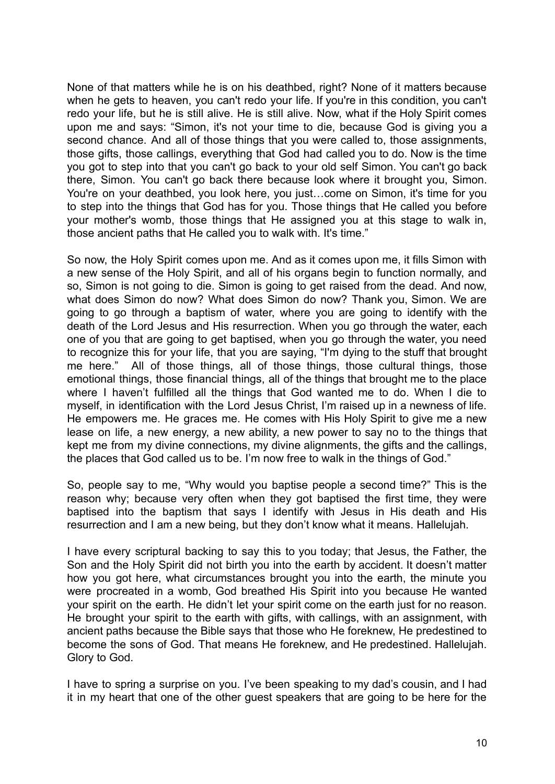None of that matters while he is on his deathbed, right? None of it matters because when he gets to heaven, you can't redo your life. If you're in this condition, you can't redo your life, but he is still alive. He is still alive. Now, what if the Holy Spirit comes upon me and says: "Simon, it's not your time to die, because God is giving you a second chance. And all of those things that you were called to, those assignments, those gifts, those callings, everything that God had called you to do. Now is the time you got to step into that you can't go back to your old self Simon. You can't go back there, Simon. You can't go back there because look where it brought you, Simon. You're on your deathbed, you look here, you just…come on Simon, it's time for you to step into the things that God has for you. Those things that He called you before your mother's womb, those things that He assigned you at this stage to walk in, those ancient paths that He called you to walk with. It's time."

So now, the Holy Spirit comes upon me. And as it comes upon me, it fills Simon with a new sense of the Holy Spirit, and all of his organs begin to function normally, and so, Simon is not going to die. Simon is going to get raised from the dead. And now, what does Simon do now? What does Simon do now? Thank you, Simon. We are going to go through a baptism of water, where you are going to identify with the death of the Lord Jesus and His resurrection. When you go through the water, each one of you that are going to get baptised, when you go through the water, you need to recognize this for your life, that you are saying, "I'm dying to the stuff that brought me here." All of those things, all of those things, those cultural things, those emotional things, those financial things, all of the things that brought me to the place where I haven't fulfilled all the things that God wanted me to do. When I die to myself, in identification with the Lord Jesus Christ, I'm raised up in a newness of life. He empowers me. He graces me. He comes with His Holy Spirit to give me a new lease on life, a new energy, a new ability, a new power to say no to the things that kept me from my divine connections, my divine alignments, the gifts and the callings, the places that God called us to be. I'm now free to walk in the things of God."

So, people say to me, "Why would you baptise people a second time?" This is the reason why; because very often when they got baptised the first time, they were baptised into the baptism that says I identify with Jesus in His death and His resurrection and I am a new being, but they don't know what it means. Hallelujah.

I have every scriptural backing to say this to you today; that Jesus, the Father, the Son and the Holy Spirit did not birth you into the earth by accident. It doesn't matter how you got here, what circumstances brought you into the earth, the minute you were procreated in a womb, God breathed His Spirit into you because He wanted your spirit on the earth. He didn't let your spirit come on the earth just for no reason. He brought your spirit to the earth with gifts, with callings, with an assignment, with ancient paths because the Bible says that those who He foreknew, He predestined to become the sons of God. That means He foreknew, and He predestined. Hallelujah. Glory to God.

I have to spring a surprise on you. I've been speaking to my dad's cousin, and I had it in my heart that one of the other guest speakers that are going to be here for the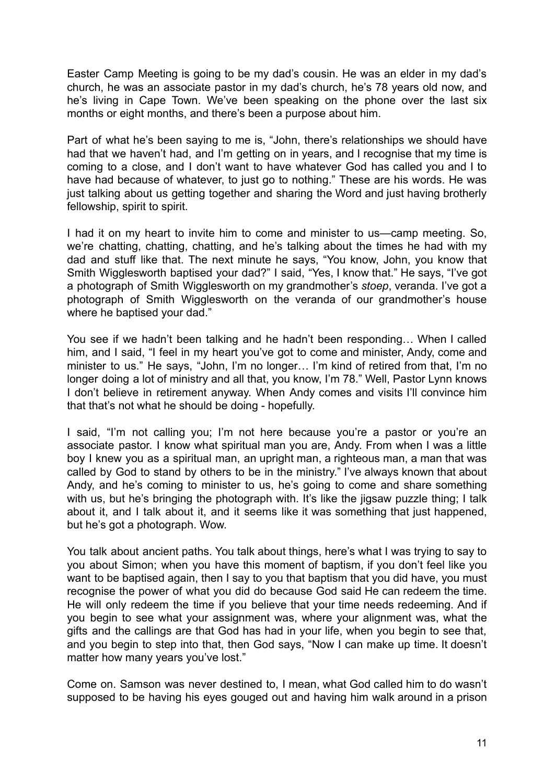Easter Camp Meeting is going to be my dad's cousin. He was an elder in my dad's church, he was an associate pastor in my dad's church, he's 78 years old now, and he's living in Cape Town. We've been speaking on the phone over the last six months or eight months, and there's been a purpose about him.

Part of what he's been saying to me is, "John, there's relationships we should have had that we haven't had, and I'm getting on in years, and I recognise that my time is coming to a close, and I don't want to have whatever God has called you and I to have had because of whatever, to just go to nothing." These are his words. He was just talking about us getting together and sharing the Word and just having brotherly fellowship, spirit to spirit.

I had it on my heart to invite him to come and minister to us—camp meeting. So, we're chatting, chatting, chatting, and he's talking about the times he had with my dad and stuff like that. The next minute he says, "You know, John, you know that Smith Wigglesworth baptised your dad?" I said, "Yes, I know that." He says, "I've got a photograph of Smith Wigglesworth on my grandmother's *stoep*, veranda. I've got a photograph of Smith Wigglesworth on the veranda of our grandmother's house where he baptised your dad."

You see if we hadn't been talking and he hadn't been responding… When I called him, and I said, "I feel in my heart you've got to come and minister, Andy, come and minister to us." He says, "John, I'm no longer… I'm kind of retired from that, I'm no longer doing a lot of ministry and all that, you know, I'm 78." Well, Pastor Lynn knows I don't believe in retirement anyway. When Andy comes and visits I'll convince him that that's not what he should be doing - hopefully.

I said, "I'm not calling you; I'm not here because you're a pastor or you're an associate pastor. I know what spiritual man you are, Andy. From when I was a little boy I knew you as a spiritual man, an upright man, a righteous man, a man that was called by God to stand by others to be in the ministry." I've always known that about Andy, and he's coming to minister to us, he's going to come and share something with us, but he's bringing the photograph with. It's like the jigsaw puzzle thing; I talk about it, and I talk about it, and it seems like it was something that just happened, but he's got a photograph. Wow.

You talk about ancient paths. You talk about things, here's what I was trying to say to you about Simon; when you have this moment of baptism, if you don't feel like you want to be baptised again, then I say to you that baptism that you did have, you must recognise the power of what you did do because God said He can redeem the time. He will only redeem the time if you believe that your time needs redeeming. And if you begin to see what your assignment was, where your alignment was, what the gifts and the callings are that God has had in your life, when you begin to see that, and you begin to step into that, then God says, "Now I can make up time. It doesn't matter how many years you've lost."

Come on. Samson was never destined to, I mean, what God called him to do wasn't supposed to be having his eyes gouged out and having him walk around in a prison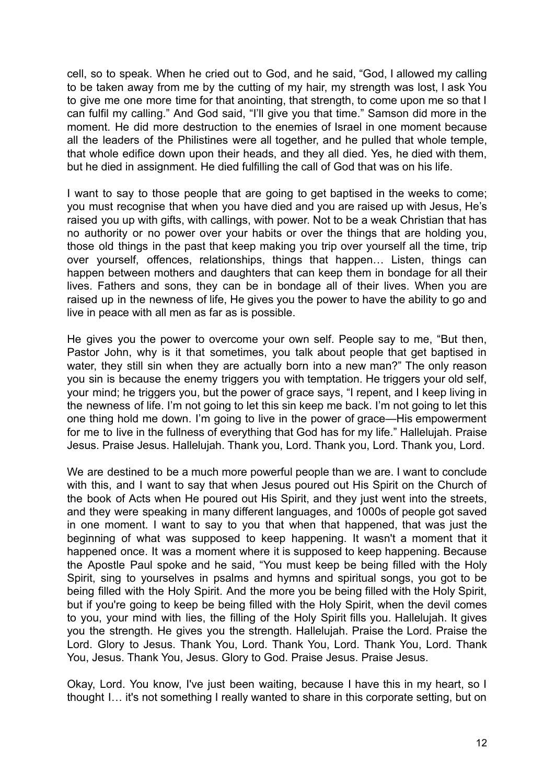cell, so to speak. When he cried out to God, and he said, "God, I allowed my calling to be taken away from me by the cutting of my hair, my strength was lost, I ask You to give me one more time for that anointing, that strength, to come upon me so that I can fulfil my calling." And God said, "I'll give you that time." Samson did more in the moment. He did more destruction to the enemies of Israel in one moment because all the leaders of the Philistines were all together, and he pulled that whole temple, that whole edifice down upon their heads, and they all died. Yes, he died with them, but he died in assignment. He died fulfilling the call of God that was on his life.

I want to say to those people that are going to get baptised in the weeks to come: you must recognise that when you have died and you are raised up with Jesus, He's raised you up with gifts, with callings, with power. Not to be a weak Christian that has no authority or no power over your habits or over the things that are holding you, those old things in the past that keep making you trip over yourself all the time, trip over yourself, offences, relationships, things that happen… Listen, things can happen between mothers and daughters that can keep them in bondage for all their lives. Fathers and sons, they can be in bondage all of their lives. When you are raised up in the newness of life, He gives you the power to have the ability to go and live in peace with all men as far as is possible.

He gives you the power to overcome your own self. People say to me, "But then, Pastor John, why is it that sometimes, you talk about people that get baptised in water, they still sin when they are actually born into a new man?" The only reason you sin is because the enemy triggers you with temptation. He triggers your old self, your mind; he triggers you, but the power of grace says, "I repent, and I keep living in the newness of life. I'm not going to let this sin keep me back. I'm not going to let this one thing hold me down. I'm going to live in the power of grace—His empowerment for me to live in the fullness of everything that God has for my life." Hallelujah. Praise Jesus. Praise Jesus. Hallelujah. Thank you, Lord. Thank you, Lord. Thank you, Lord.

We are destined to be a much more powerful people than we are. I want to conclude with this, and I want to say that when Jesus poured out His Spirit on the Church of the book of Acts when He poured out His Spirit, and they just went into the streets, and they were speaking in many different languages, and 1000s of people got saved in one moment. I want to say to you that when that happened, that was just the beginning of what was supposed to keep happening. It wasn't a moment that it happened once. It was a moment where it is supposed to keep happening. Because the Apostle Paul spoke and he said, "You must keep be being filled with the Holy Spirit, sing to yourselves in psalms and hymns and spiritual songs, you got to be being filled with the Holy Spirit. And the more you be being filled with the Holy Spirit, but if you're going to keep be being filled with the Holy Spirit, when the devil comes to you, your mind with lies, the filling of the Holy Spirit fills you. Hallelujah. It gives you the strength. He gives you the strength. Hallelujah. Praise the Lord. Praise the Lord. Glory to Jesus. Thank You, Lord. Thank You, Lord. Thank You, Lord. Thank You, Jesus. Thank You, Jesus. Glory to God. Praise Jesus. Praise Jesus.

Okay, Lord. You know, I've just been waiting, because I have this in my heart, so I thought I… it's not something I really wanted to share in this corporate setting, but on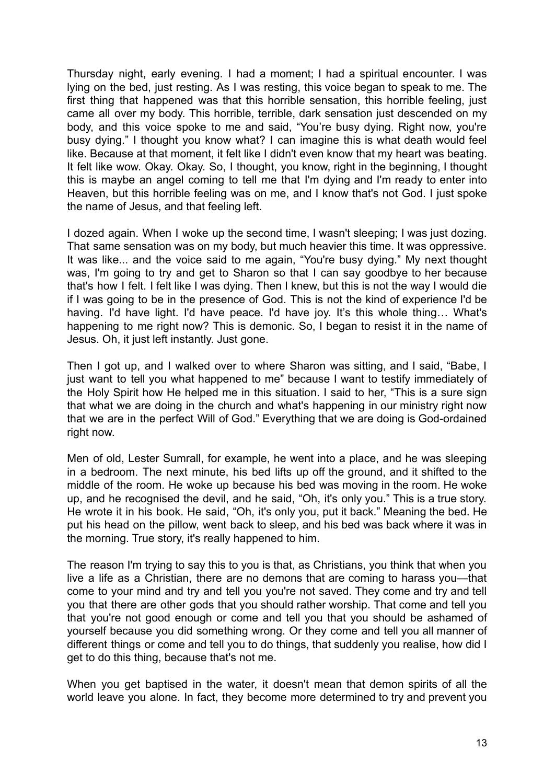Thursday night, early evening. I had a moment; I had a spiritual encounter. I was lying on the bed, just resting. As I was resting, this voice began to speak to me. The first thing that happened was that this horrible sensation, this horrible feeling, just came all over my body. This horrible, terrible, dark sensation just descended on my body, and this voice spoke to me and said, "You're busy dying. Right now, you're busy dying." I thought you know what? I can imagine this is what death would feel like. Because at that moment, it felt like I didn't even know that my heart was beating. It felt like wow. Okay. Okay. So, I thought, you know, right in the beginning, I thought this is maybe an angel coming to tell me that I'm dying and I'm ready to enter into Heaven, but this horrible feeling was on me, and I know that's not God. I just spoke the name of Jesus, and that feeling left.

I dozed again. When I woke up the second time, I wasn't sleeping; I was just dozing. That same sensation was on my body, but much heavier this time. It was oppressive. It was like... and the voice said to me again, "You're busy dying." My next thought was, I'm going to try and get to Sharon so that I can say goodbye to her because that's how I felt. I felt like I was dying. Then I knew, but this is not the way I would die if I was going to be in the presence of God. This is not the kind of experience I'd be having. I'd have light. I'd have peace. I'd have joy. It's this whole thing… What's happening to me right now? This is demonic. So, I began to resist it in the name of Jesus. Oh, it just left instantly. Just gone.

Then I got up, and I walked over to where Sharon was sitting, and I said, "Babe, I just want to tell you what happened to me" because I want to testify immediately of the Holy Spirit how He helped me in this situation. I said to her, "This is a sure sign that what we are doing in the church and what's happening in our ministry right now that we are in the perfect Will of God." Everything that we are doing is God-ordained right now.

Men of old, Lester Sumrall, for example, he went into a place, and he was sleeping in a bedroom. The next minute, his bed lifts up off the ground, and it shifted to the middle of the room. He woke up because his bed was moving in the room. He woke up, and he recognised the devil, and he said, "Oh, it's only you." This is a true story. He wrote it in his book. He said, "Oh, it's only you, put it back." Meaning the bed. He put his head on the pillow, went back to sleep, and his bed was back where it was in the morning. True story, it's really happened to him.

The reason I'm trying to say this to you is that, as Christians, you think that when you live a life as a Christian, there are no demons that are coming to harass you—that come to your mind and try and tell you you're not saved. They come and try and tell you that there are other gods that you should rather worship. That come and tell you that you're not good enough or come and tell you that you should be ashamed of yourself because you did something wrong. Or they come and tell you all manner of different things or come and tell you to do things, that suddenly you realise, how did I get to do this thing, because that's not me.

When you get baptised in the water, it doesn't mean that demon spirits of all the world leave you alone. In fact, they become more determined to try and prevent you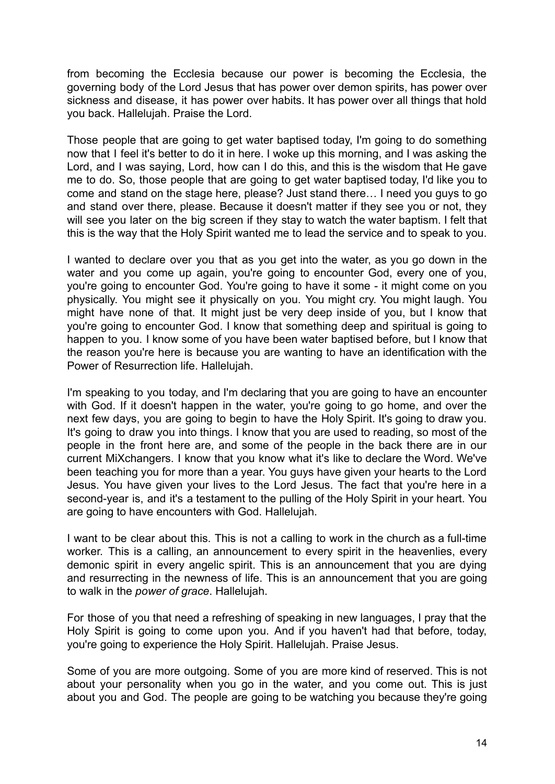from becoming the Ecclesia because our power is becoming the Ecclesia, the governing body of the Lord Jesus that has power over demon spirits, has power over sickness and disease, it has power over habits. It has power over all things that hold you back. Hallelujah. Praise the Lord.

Those people that are going to get water baptised today. I'm going to do something now that I feel it's better to do it in here. I woke up this morning, and I was asking the Lord, and I was saying, Lord, how can I do this, and this is the wisdom that He gave me to do. So, those people that are going to get water baptised today, I'd like you to come and stand on the stage here, please? Just stand there… I need you guys to go and stand over there, please. Because it doesn't matter if they see you or not, they will see you later on the big screen if they stay to watch the water baptism. I felt that this is the way that the Holy Spirit wanted me to lead the service and to speak to you.

I wanted to declare over you that as you get into the water, as you go down in the water and you come up again, you're going to encounter God, every one of you, you're going to encounter God. You're going to have it some - it might come on you physically. You might see it physically on you. You might cry. You might laugh. You might have none of that. It might just be very deep inside of you, but I know that you're going to encounter God. I know that something deep and spiritual is going to happen to you. I know some of you have been water baptised before, but I know that the reason you're here is because you are wanting to have an identification with the Power of Resurrection life. Hallelujah.

I'm speaking to you today, and I'm declaring that you are going to have an encounter with God. If it doesn't happen in the water, you're going to go home, and over the next few days, you are going to begin to have the Holy Spirit. It's going to draw you. It's going to draw you into things. I know that you are used to reading, so most of the people in the front here are, and some of the people in the back there are in our current MiXchangers. I know that you know what it's like to declare the Word. We've been teaching you for more than a year. You guys have given your hearts to the Lord Jesus. You have given your lives to the Lord Jesus. The fact that you're here in a second-year is, and it's a testament to the pulling of the Holy Spirit in your heart. You are going to have encounters with God. Hallelujah.

I want to be clear about this. This is not a calling to work in the church as a full-time worker. This is a calling, an announcement to every spirit in the heavenlies, every demonic spirit in every angelic spirit. This is an announcement that you are dying and resurrecting in the newness of life. This is an announcement that you are going to walk in the *power of grace*. Hallelujah.

For those of you that need a refreshing of speaking in new languages, I pray that the Holy Spirit is going to come upon you. And if you haven't had that before, today, you're going to experience the Holy Spirit. Hallelujah. Praise Jesus.

Some of you are more outgoing. Some of you are more kind of reserved. This is not about your personality when you go in the water, and you come out. This is just about you and God. The people are going to be watching you because they're going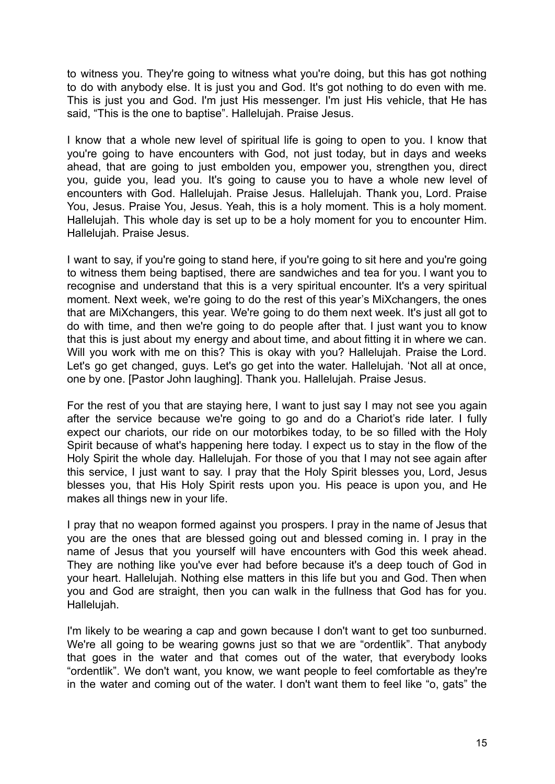to witness you. They're going to witness what you're doing, but this has got nothing to do with anybody else. It is just you and God. It's got nothing to do even with me. This is just you and God. I'm just His messenger. I'm just His vehicle, that He has said, "This is the one to baptise". Hallelujah. Praise Jesus.

I know that a whole new level of spiritual life is going to open to you. I know that you're going to have encounters with God, not just today, but in days and weeks ahead, that are going to just embolden you, empower you, strengthen you, direct you, guide you, lead you. It's going to cause you to have a whole new level of encounters with God. Hallelujah. Praise Jesus. Hallelujah. Thank you, Lord. Praise You, Jesus. Praise You, Jesus. Yeah, this is a holy moment. This is a holy moment. Hallelujah. This whole day is set up to be a holy moment for you to encounter Him. Hallelujah. Praise Jesus.

I want to say, if you're going to stand here, if you're going to sit here and you're going to witness them being baptised, there are sandwiches and tea for you. I want you to recognise and understand that this is a very spiritual encounter. It's a very spiritual moment. Next week, we're going to do the rest of this year's MiXchangers, the ones that are MiXchangers, this year. We're going to do them next week. It's just all got to do with time, and then we're going to do people after that. I just want you to know that this is just about my energy and about time, and about fitting it in where we can. Will you work with me on this? This is okay with you? Hallelujah. Praise the Lord. Let's go get changed, guys. Let's go get into the water. Hallelujah. 'Not all at once, one by one. [Pastor John laughing]. Thank you. Hallelujah. Praise Jesus.

For the rest of you that are staying here, I want to just say I may not see you again after the service because we're going to go and do a Chariot's ride later. I fully expect our chariots, our ride on our motorbikes today, to be so filled with the Holy Spirit because of what's happening here today. I expect us to stay in the flow of the Holy Spirit the whole day. Hallelujah. For those of you that I may not see again after this service, I just want to say. I pray that the Holy Spirit blesses you, Lord, Jesus blesses you, that His Holy Spirit rests upon you. His peace is upon you, and He makes all things new in your life.

I pray that no weapon formed against you prospers. I pray in the name of Jesus that you are the ones that are blessed going out and blessed coming in. I pray in the name of Jesus that you yourself will have encounters with God this week ahead. They are nothing like you've ever had before because it's a deep touch of God in your heart. Hallelujah. Nothing else matters in this life but you and God. Then when you and God are straight, then you can walk in the fullness that God has for you. Hallelujah.

I'm likely to be wearing a cap and gown because I don't want to get too sunburned. We're all going to be wearing gowns just so that we are "ordentlik". That anybody that goes in the water and that comes out of the water, that everybody looks "ordentlik". We don't want, you know, we want people to feel comfortable as they're in the water and coming out of the water. I don't want them to feel like "o, gats" the